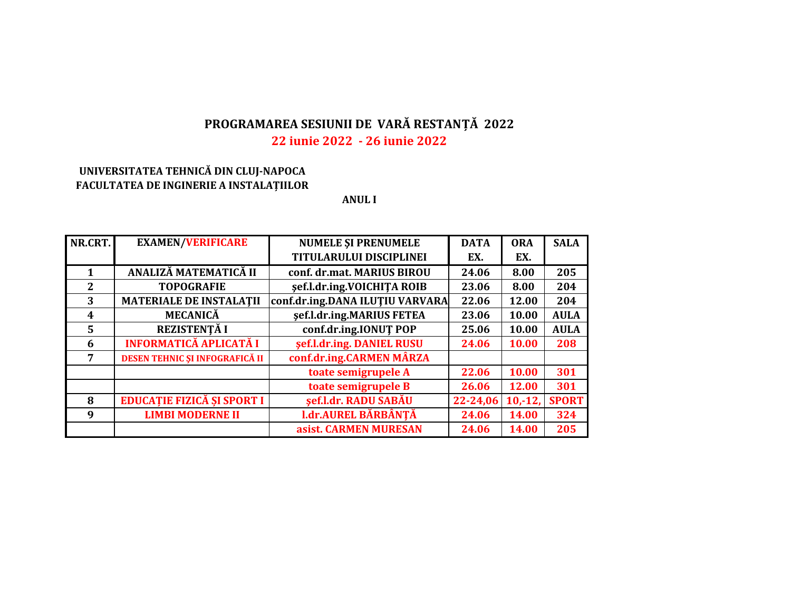# PROGRAMAREA SESIUNII DE VARĂ RESTANȚĂ 2022

# 22 iunie 2022 - 26 iunie 2022

# UNIVERSITATEA TEHNICĂ DIN CLUJ-NAPOCA FACULTATEA DE INGINERIE A INSTALAȚIILOR

**ANULI** 

| NR.CRT. | <b>EXAMEN/VERIFICARE</b>          | <b>NUMELE ȘI PRENUMELE</b>      | <b>DATA</b> | <b>ORA</b> | <b>SALA</b>  |
|---------|-----------------------------------|---------------------------------|-------------|------------|--------------|
|         |                                   | <b>TITULARULUI DISCIPLINEI</b>  | EX.         | EX.        |              |
| 1       | ANALIZĂ MATEMATICĂ II             | conf. dr.mat. MARIUS BIROU      | 24.06       | 8.00       | 205          |
| 2       | <b>TOPOGRAFIE</b>                 | şef.l.dr.ing.VOICHITA ROIB      | 23.06       | 8.00       | 204          |
| 3       | <b>MATERIALE DE INSTALATII</b>    | conf.dr.ing.DANA ILUȚIU VARVARA | 22.06       | 12.00      | 204          |
| 4       | <b>MECANICĂ</b>                   | sef.l.dr.ing.MARIUS FETEA       | 23.06       | 10.00      | <b>AULA</b>  |
| 5       | REZISTENȚĂ I                      | conf.dr.ing.IONUT POP           | 25.06       | 10.00      | <b>AULA</b>  |
| 6       | <b>INFORMATICĂ APLICATĂ I</b>     | sef.l.dr.ing. DANIEL RUSU       | 24.06       | 10.00      | 208          |
| 7       | DESEN TEHNIC ȘI INFOGRAFICĂ II    | conf.dr.ing.CARMEN MÂRZA        |             |            |              |
|         |                                   | toate semigrupele A             | 22.06       | 10.00      | 301          |
|         |                                   | toate semigrupele B             | 26.06       | 12.00      | 301          |
| 8       | <b>EDUCAȚIE FIZICĂ ȘI SPORT I</b> | şef.l.dr. RADU SABĂU            | 22-24,06    | $10,-12$   | <b>SPORT</b> |
| 9       | <b>LIMBI MODERNE II</b>           | <b>I.dr.AUREL BĂRBÂNȚĂ</b>      | 24.06       | 14.00      | 324          |
|         |                                   | asist. CARMEN MURESAN           | 24.06       | 14.00      | 205          |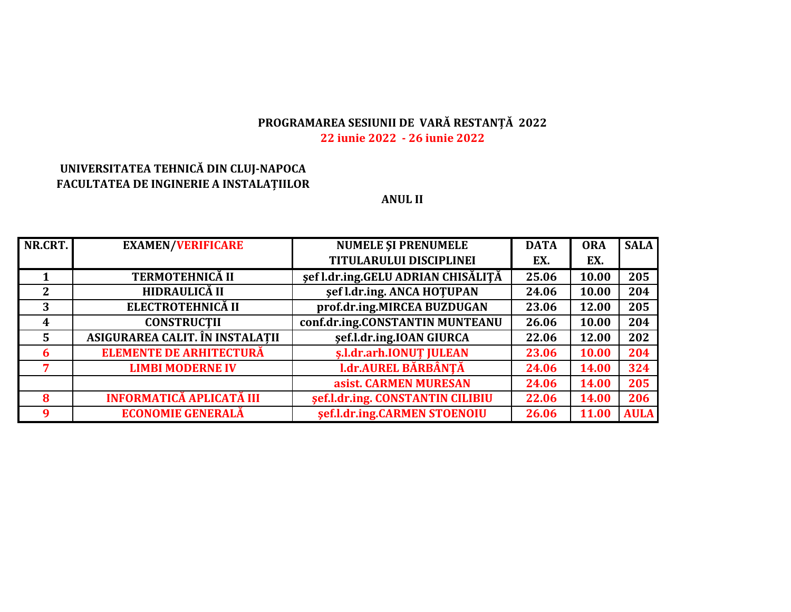#### **PROGRAMAREA SESIUNII DE VARĂ RESTANȚĂ <sup>2022</sup> 22 iunie 2022 ‐ 26 iunie 2022**

## **UNIVERSITATEA TEHNICĂ DIN CLUJ‐NAPOCA FACULTATEA DE INGINERIE A INSTALAȚIILOR**

#### **ANUL II**

| NR.CRT. | <b>EXAMEN/VERIFICARE</b>        | <b>NUMELE ȘI PRENUMELE</b>         | <b>DATA</b> | <b>ORA</b>   | <b>SALA</b> |
|---------|---------------------------------|------------------------------------|-------------|--------------|-------------|
|         |                                 | TITULARULUI DISCIPLINEI            | EX.         | EX.          |             |
|         | <b>TERMOTEHNICĂ II</b>          | sef l.dr.ing.GELU ADRIAN CHISĂLIȚĂ | 25.06       | 10.00        | 205         |
| 2       | HIDRAULICĂ II                   | sef l.dr.ing. ANCA HOTUPAN         | 24.06       | 10.00        | 204         |
| 3       | ELECTROTEHNICĂ II               | prof.dr.ing.MIRCEA BUZDUGAN        | 23.06       | 12.00        | 205         |
| 4       | <b>CONSTRUCTII</b>              | conf.dr.ing.CONSTANTIN MUNTEANU    | 26.06       | 10.00        | 204         |
| 5       | ASIGURAREA CALIT. ÎN INSTALATII | sef.l.dr.ing.IOAN GIURCA           | 22.06       | 12.00        | 202         |
| 6       | <b>ELEMENTE DE ARHITECTURĂ</b>  | s.l.dr.arh.IONUT JULEAN            | 23.06       | 10.00        | 204         |
| 7       | <b>LIMBI MODERNE IV</b>         | <b>I.dr.AUREL BĂRBÂNȚĂ</b>         | 24.06       | 14.00        | 324         |
|         |                                 | asist. CARMEN MURESAN              | 24.06       | 14.00        | 205         |
| 8       | <b>INFORMATICĂ APLICATĂ III</b> | sef.l.dr.ing. CONSTANTIN CILIBIU   | 22.06       | 14.00        | 206         |
| 9       | <b>ECONOMIE GENERALĂ</b>        | sef.l.dr.ing.CARMEN STOENOIU       | 26.06       | <b>11.00</b> | <b>AULA</b> |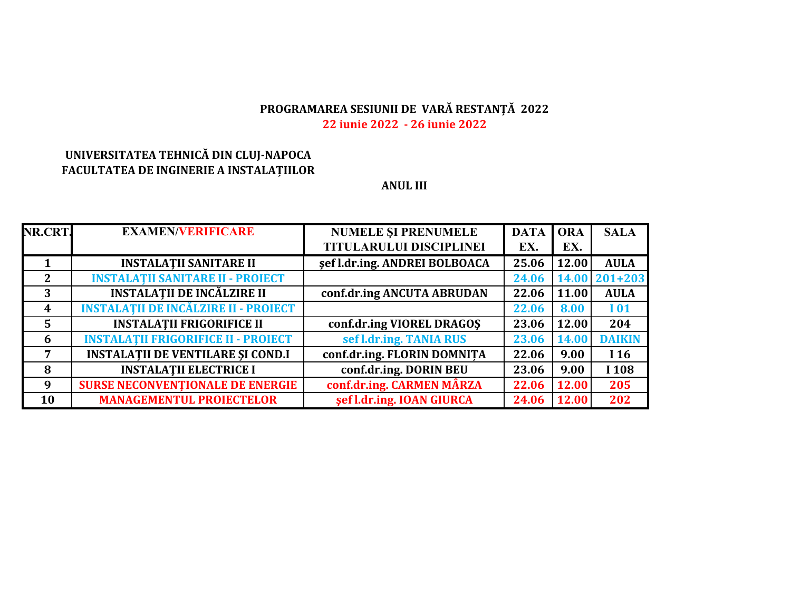# PROGRAMAREA SESIUNII DE VARĂ RESTANȚĂ 2022 22 iunie 2022 - 26 iunie 2022

# UNIVERSITATEA TEHNICĂ DIN CLUJ-NAPOCA FACULTATEA DE INGINERIE A INSTALAȚIILOR

#### **ANUL III**

| NR.CRT.        | <b>EXAMEN/VERIFICARE</b>                    | <b>NUMELE ȘI PRENUMELE</b>    | <b>DATA</b> | <b>ORA</b>   | <b>SALA</b>     |
|----------------|---------------------------------------------|-------------------------------|-------------|--------------|-----------------|
|                |                                             | TITULARULUI DISCIPLINEI       | EX.         | EX.          |                 |
|                | <b>INSTALATII SANITARE II</b>               | sef l.dr.ing. ANDREI BOLBOACA | 25.06       | 12.00        | <b>AULA</b>     |
| $2^{\circ}$    | <b>INSTALATII SANITARE II - PROIECT</b>     |                               | 24.06       |              | 14.00 201+203   |
| 3              | <b>INSTALAȚII DE INCĂLZIRE II</b>           | conf.dr.ing ANCUTA ABRUDAN    | 22.06       | 11.00        | <b>AULA</b>     |
| 4              | <b>INSTALAȚII DE INCĂLZIRE II - PROIECT</b> |                               | 22.06       | 8.00         | <b>I01</b>      |
| $\overline{5}$ | <b>INSTALATII FRIGORIFICE II</b>            | conf.dr.ing VIOREL DRAGOS     | 23.06       | 12.00        | 204             |
| 6              | <b>INSTALATII FRIGORIFICE II - PROIECT</b>  | sef l.dr.ing. TANIA RUS       | 23.06       | <b>14.00</b> | <b>DAIKIN</b>   |
| $\overline{7}$ | <b>INSTALATII DE VENTILARE ȘI COND.I</b>    | conf.dr.ing. FLORIN DOMNITA   | 22.06       | 9.00         | I <sub>16</sub> |
| 8              | <b>INSTALATII ELECTRICE I</b>               | conf.dr.ing. DORIN BEU        | 23.06       | 9.00         | I 108           |
| 9              | <b>SURSE NECONVENTIONALE DE ENERGIE</b>     | conf.dr.ing. CARMEN MÂRZA     | 22.06       | 12.00        | 205             |
| 10             | <b>MANAGEMENTUL PROIECTELOR</b>             | sef l.dr.ing. IOAN GIURCA     | 24.06       | 12.00        | 202             |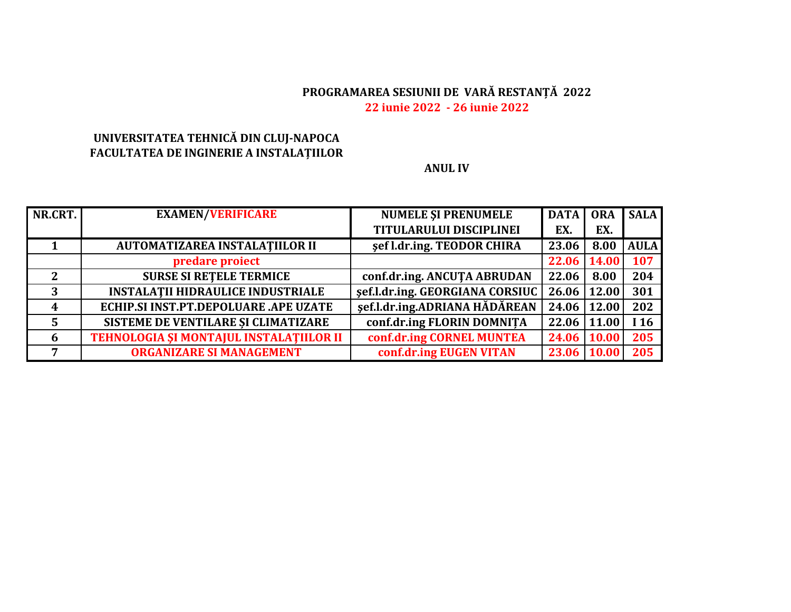# PROGRAMAREA SESIUNII DE VARĂ RESTANȚĂ 2022 22 iunie 2022 - 26 iunie 2022

# UNIVERSITATEA TEHNICĂ DIN CLUJ-NAPOCA FACULTATEA DE INGINERIE A INSTALAȚIILOR

#### **ANUL IV**

| NR.CRT. | <b>EXAMEN/VERIFICARE</b>                 | <b>NUMELE ȘI PRENUMELE</b>      | <b>DATA</b>        | <b>ORA</b>   | <b>SALA</b> |
|---------|------------------------------------------|---------------------------------|--------------------|--------------|-------------|
|         |                                          | <b>TITULARULUI DISCIPLINEI</b>  | EX.                | EX.          |             |
|         | AUTOMATIZAREA INSTALATIILOR II           | sef l.dr.ing. TEODOR CHIRA      | 23.06              | 8.00         | <b>AULA</b> |
|         | predare proiect                          |                                 | 22.06              | 14.00        | 107         |
| 2       | <b>SURSE SI RETELE TERMICE</b>           | conf.dr.ing. ANCUTA ABRUDAN     | 22.06              | 8.00         | 204         |
| 3       | <b>INSTALATII HIDRAULICE INDUSTRIALE</b> | sef.l.dr.ing. GEORGIANA CORSIUC | $26.06 \mid 12.00$ |              | 301         |
| 4       | ECHIP.SI INST.PT.DEPOLUARE .APE UZATE    | şef.l.dr.ing.ADRIANA HĂDĂREAN   | 24.06              | 12.00        | 202         |
|         | SISTEME DE VENTILARE ȘI CLIMATIZARE      | conf.dr.ing FLORIN DOMNITA      | 22.06              | 11.00        | I 16        |
| 6       | TEHNOLOGIA ȘI MONTAJUL INSTALAȚIILOR II  | conf.dr.ing CORNEL MUNTEA       | 24.06              | <b>10.00</b> | 205         |
| 7       | <b>ORGANIZARE SI MANAGEMENT</b>          | conf.dr.ing EUGEN VITAN         | 23.06              | 10.00        | 205         |